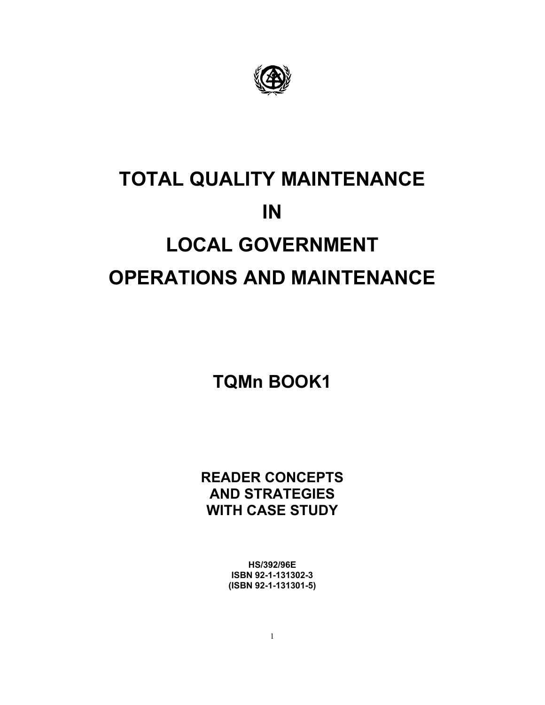

# **TOTAL QUALITY MAINTENANCE IN LOCAL GOVERNMENT OPERATIONS AND MAINTENANCE**

**TQMn BOOK1** 

**READER CONCEPTS AND STRATEGIES WITH CASE STUDY**

> **HS/392/96E ISBN 92-1-131302-3 (ISBN 92-1-131301-5)**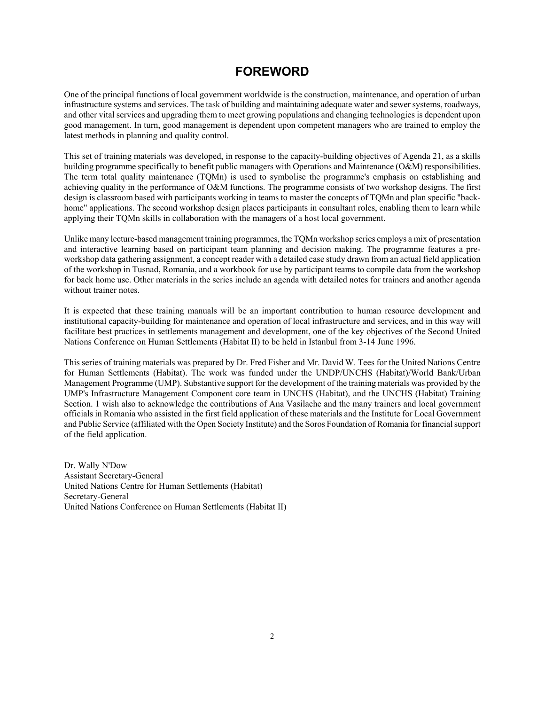# **FOREWORD**

One of the principal functions of local government worldwide is the construction, maintenance, and operation of urban infrastructure systems and services. The task of building and maintaining adequate water and sewer systems, roadways, and other vital services and upgrading them to meet growing populations and changing technologies is dependent upon good management. In turn, good management is dependent upon competent managers who are trained to employ the latest methods in planning and quality control.

This set of training materials was developed, in response to the capacity-building objectives of Agenda 21, as a skills building programme specifically to benefit public managers with Operations and Maintenance (O&M) responsibilities. The term total quality maintenance (TQMn) is used to symbolise the programme's emphasis on establishing and achieving quality in the performance of O&M functions. The programme consists of two workshop designs. The first design is classroom based with participants working in teams to master the concepts of TQMn and plan specific "backhome" applications. The second workshop design places participants in consultant roles, enabling them to learn while applying their TQMn skills in collaboration with the managers of a host local government.

Unlike many lecture-based management training programmes, the TQMn workshop series employs a mix of presentation and interactive learning based on participant team planning and decision making. The programme features a preworkshop data gathering assignment, a concept reader with a detailed case study drawn from an actual field application of the workshop in Tusnad, Romania, and a workbook for use by participant teams to compile data from the workshop for back home use. Other materials in the series include an agenda with detailed notes for trainers and another agenda without trainer notes.

It is expected that these training manuals will be an important contribution to human resource development and institutional capacity-building for maintenance and operation of local infrastructure and services, and in this way will facilitate best practices in settlements management and development, one of the key objectives of the Second United Nations Conference on Human Settlements (Habitat II) to be held in Istanbul from 3-14 June 1996.

This series of training materials was prepared by Dr. Fred Fisher and Mr. David W. Tees for the United Nations Centre for Human Settlements (Habitat). The work was funded under the UNDP/UNCHS (Habitat)/World Bank/Urban Management Programme (UMP). Substantive support for the development of the training materials was provided by the UMP's Infrastructure Management Component core team in UNCHS (Habitat), and the UNCHS (Habitat) Training Section. 1 wish also to acknowledge the contributions of Ana Vasilache and the many trainers and local government officials in Romania who assisted in the first field application of these materials and the Institute for Local Government and Public Service (affiliated with the Open Society Institute) and the Soros Foundation of Romania for financial support of the field application.

Dr. Wally N'Dow Assistant Secretary-General United Nations Centre for Human Settlements (Habitat) Secretary-General United Nations Conference on Human Settlements (Habitat II)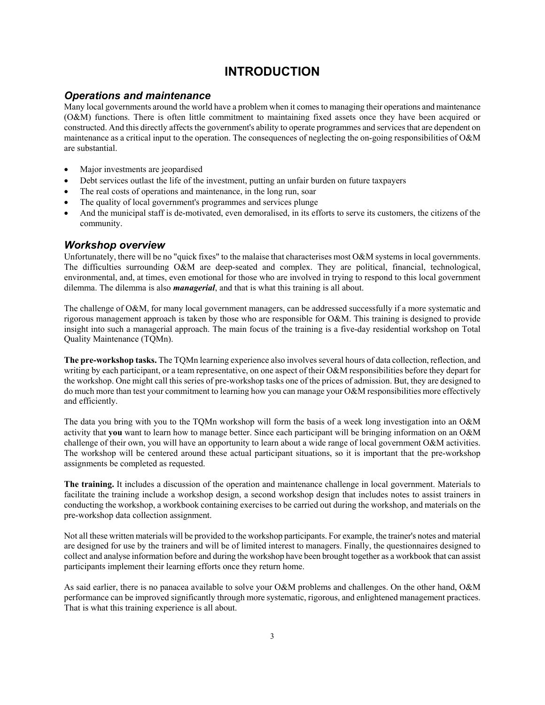# **INTRODUCTION**

#### *Operations and maintenance*

Many local governments around the world have a problem when it comes to managing their operations and maintenance (O&M) functions. There is often little commitment to maintaining fixed assets once they have been acquired or constructed. And this directly affects the government's ability to operate programmes and services that are dependent on maintenance as a critical input to the operation. The consequences of neglecting the on-going responsibilities of O&M are substantial.

- Major investments are jeopardised
- Debt services outlast the life of the investment, putting an unfair burden on future taxpayers
- The real costs of operations and maintenance, in the long run, soar
- The quality of local government's programmes and services plunge
- And the municipal staff is de-motivated, even demoralised, in its efforts to serve its customers, the citizens of the community.

#### *Workshop overview*

Unfortunately, there will be no "quick fixes" to the malaise that characterises most O&M systems in local governments. The difficulties surrounding O&M are deep-seated and complex. They are political, financial, technological, environmental, and, at times, even emotional for those who are involved in trying to respond to this local government dilemma. The dilemma is also *managerial*, and that is what this training is all about.

The challenge of O&M, for many local government managers, can be addressed successfully if a more systematic and rigorous management approach is taken by those who are responsible for O&M. This training is designed to provide insight into such a managerial approach. The main focus of the training is a five-day residential workshop on Total Quality Maintenance (TQMn).

**The pre-workshop tasks.** The TQMn learning experience also involves several hours of data collection, reflection, and writing by each participant, or a team representative, on one aspect of their O&M responsibilities before they depart for the workshop. One might call this series of pre-workshop tasks one of the prices of admission. But, they are designed to do much more than test your commitment to learning how you can manage your O&M responsibilities more effectively and efficiently.

The data you bring with you to the TQMn workshop will form the basis of a week long investigation into an O&M activity that **you** want to learn how to manage better. Since each participant will be bringing information on an O&M challenge of their own, you will have an opportunity to learn about a wide range of local government O&M activities. The workshop will be centered around these actual participant situations, so it is important that the pre-workshop assignments be completed as requested.

**The training.** It includes a discussion of the operation and maintenance challenge in local government. Materials to facilitate the training include a workshop design, a second workshop design that includes notes to assist trainers in conducting the workshop, a workbook containing exercises to be carried out during the workshop, and materials on the pre-workshop data collection assignment.

Not all these written materials will be provided to the workshop participants. For example, the trainer's notes and material are designed for use by the trainers and will be of limited interest to managers. Finally, the questionnaires designed to collect and analyse information before and during the workshop have been brought together as a workbook that can assist participants implement their learning efforts once they return home.

As said earlier, there is no panacea available to solve your O&M problems and challenges. On the other hand, O&M performance can be improved significantly through more systematic, rigorous, and enlightened management practices. That is what this training experience is all about.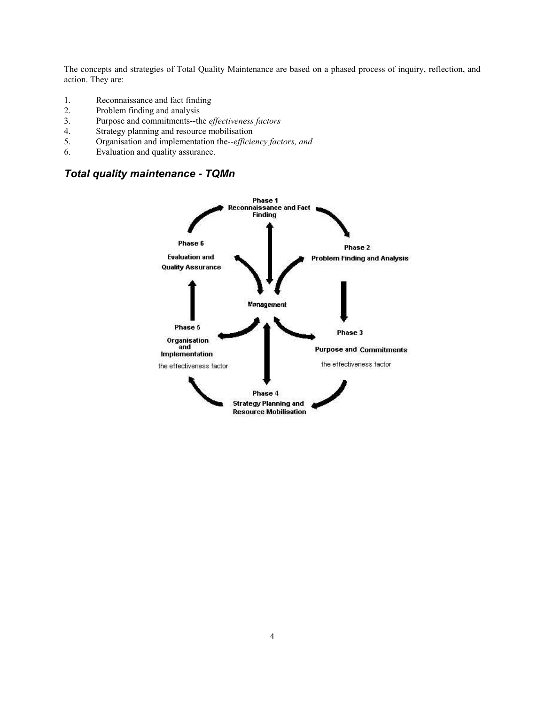The concepts and strategies of Total Quality Maintenance are based on a phased process of inquiry, reflection, and action. They are:

- 1. Reconnaissance and fact finding
- 2. Problem finding and analysis
- 3. Purpose and commitments--the *effectiveness factors*
- 4. Strategy planning and resource mobilisation
- 5. Organisation and implementation the--*efficiency factors, and*
- 6. Evaluation and quality assurance.

## *Total quality maintenance - TQMn*

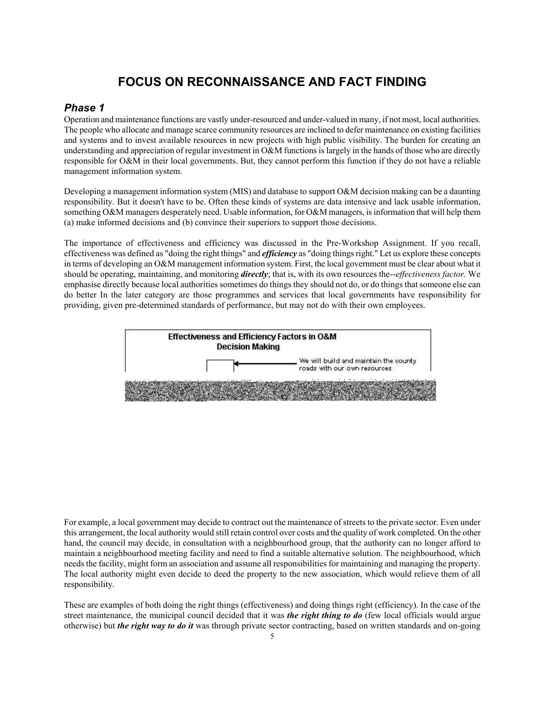# **FOCUS ON RECONNAISSANCE AND FACT FINDING**

#### *Phase 1*

Operation and maintenance functions are vastly under-resourced and under-valued in many, if not most, local authorities. The people who allocate and manage scarce community resources are inclined to defer maintenance on existing facilities and systems and to invest available resources in new projects with high public visibility. The burden for creating an understanding and appreciation of regular investment in O&M functions is largely in the hands of those who are directly responsible for O&M in their local governments. But, they cannot perform this function if they do not have a reliable management information system.

Developing a management information system (MIS) and database to support O&M decision making can be a daunting responsibility. But it doesn't have to be. Often these kinds of systems are data intensive and lack usable information, something O&M managers desperately need. Usable information, for O&M managers, is information that will help them (a) make informed decisions and (b) convince their superiors to support those decisions.

The importance of effectiveness and efficiency was discussed in the Pre-Workshop Assignment. If you recall, effectiveness was defined as "doing the right things" and *efficiency* as "doing things right." Let us explore these concepts in terms of developing an O&M management information system. First, the local government must be clear about what it should be operating, maintaining, and monitoring *directly*; that is, with its own resources the--*effectiveness factor.* We emphasise directly because local authorities sometimes do things they should not do, or do things that someone else can do better In the later category are those programmes and services that local governments have responsibility for providing, given pre-determined standards of performance, but may not do with their own employees.



For example, a local government may decide to contract out the maintenance of streets to the private sector. Even under this arrangement, the local authority would still retain control over costs and the quality of work completed. On the other hand, the council may decide, in consultation with a neighbourhood group, that the authority can no longer afford to maintain a neighbourhood meeting facility and need to find a suitable alternative solution. The neighbourhood, which needs the facility, might form an association and assume all responsibilities for maintaining and managing the property. The local authority might even decide to deed the property to the new association, which would relieve them of all responsibility.

These are examples of both doing the right things (effectiveness) and doing things right (efficiency). In the case of the street maintenance, the municipal council decided that it was *the right thing to do* (few local officials would argue otherwise) but *the right way to do it* was through private sector contracting, based on written standards and on-going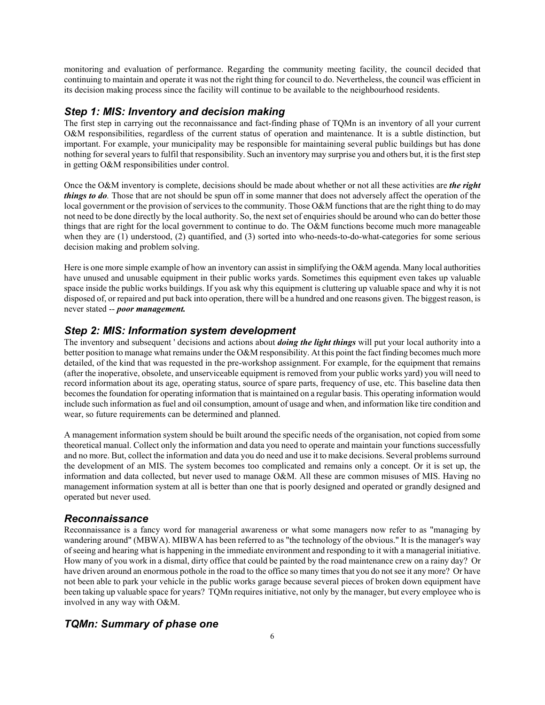monitoring and evaluation of performance. Regarding the community meeting facility, the council decided that continuing to maintain and operate it was not the right thing for council to do. Nevertheless, the council was efficient in its decision making process since the facility will continue to be available to the neighbourhood residents.

#### *Step 1: MIS: Inventory and decision making*

The first step in carrying out the reconnaissance and fact-finding phase of TQMn is an inventory of all your current O&M responsibilities, regardless of the current status of operation and maintenance. It is a subtle distinction, but important. For example, your municipality may be responsible for maintaining several public buildings but has done nothing for several years to fulfil that responsibility. Such an inventory may surprise you and others but, it is the first step in getting O&M responsibilities under control.

Once the O&M inventory is complete, decisions should be made about whether or not all these activities are *the right things to do*. Those that are not should be spun off in some manner that does not adversely affect the operation of the local government or the provision of services to the community. Those O&M functions that are the right thing to do may not need to be done directly by the local authority. So, the next set of enquiries should be around who can do better those things that are right for the local government to continue to do. The O&M functions become much more manageable when they are (1) understood, (2) quantified, and (3) sorted into who-needs-to-do-what-categories for some serious decision making and problem solving.

Here is one more simple example of how an inventory can assist in simplifying the O&M agenda. Many local authorities have unused and unusable equipment in their public works yards. Sometimes this equipment even takes up valuable space inside the public works buildings. If you ask why this equipment is cluttering up valuable space and why it is not disposed of, or repaired and put back into operation, there will be a hundred and one reasons given. The biggest reason, is never stated -- *poor management.* 

#### *Step 2: MIS: Information system development*

The inventory and subsequent ' decisions and actions about *doing the light things* will put your local authority into a better position to manage what remains under the O&M responsibility. At this point the fact finding becomes much more detailed, of the kind that was requested in the pre-workshop assignment. For example, for the equipment that remains (after the inoperative, obsolete, and unserviceable equipment is removed from your public works yard) you will need to record information about its age, operating status, source of spare parts, frequency of use, etc. This baseline data then becomes the foundation for operating information that is maintained on a regular basis. This operating information would include such information as fuel and oil consumption, amount of usage and when, and information like tire condition and wear, so future requirements can be determined and planned.

A management information system should be built around the specific needs of the organisation, not copied from some theoretical manual. Collect only the information and data you need to operate and maintain your functions successfully and no more. But, collect the information and data you do need and use it to make decisions. Several problems surround the development of an MIS. The system becomes too complicated and remains only a concept. Or it is set up, the information and data collected, but never used to manage O&M. All these are common misuses of MIS. Having no management information system at all is better than one that is poorly designed and operated or grandly designed and operated but never used.

#### *Reconnaissance*

Reconnaissance is a fancy word for managerial awareness or what some managers now refer to as "managing by wandering around" (MBWA). MIBWA has been referred to as "the technology of the obvious." It is the manager's way of seeing and hearing what is happening in the immediate environment and responding to it with a managerial initiative. How many of you work in a dismal, dirty office that could be painted by the road maintenance crew on a rainy day? Or have driven around an enormous pothole in the road to the office so many times that you do not see it any more? Or have not been able to park your vehicle in the public works garage because several pieces of broken down equipment have been taking up valuable space for years? TQMn requires initiative, not only by the manager, but every employee who is involved in any way with O&M.

#### *TQMn: Summary of phase one*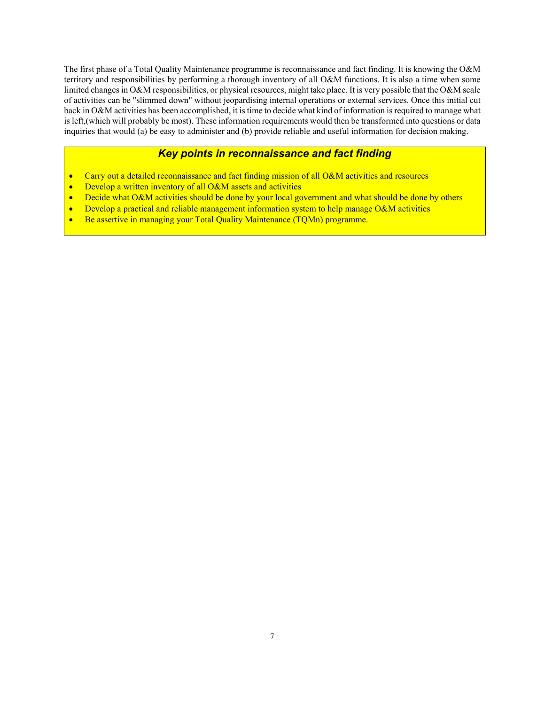The first phase of a Total Quality Maintenance programme is reconnaissance and fact finding. It is knowing the O&M territory and responsibilities by performing a thorough inventory of all O&M functions. It is also a time when some limited changes in O&M responsibilities, or physical resources, might take place. It is very possible that the O&M scale of activities can be "slimmed down" without jeopardising internal operations or external services. Once this initial cut back in O&M activities has been accomplished, it is time to decide what kind of information is required to manage what is left,(which will probably be most). These information requirements would then be transformed into questions or data inquiries that would (a) be easy to administer and (b) provide reliable and useful information for decision making.

# *Key points in reconnaissance and fact finding*

- Carry out a detailed reconnaissance and fact finding mission of all O&M activities and resources
- Develop a written inventory of all O&M assets and activities
- Decide what O&M activities should be done by your local government and what should be done by others
- Develop a practical and reliable management information system to help manage O&M activities
- Be assertive in managing your Total Quality Maintenance (TQMn) programme.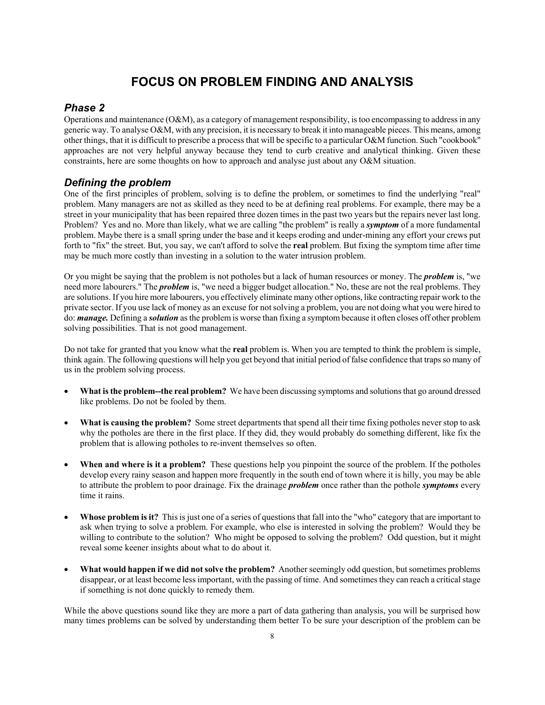# **FOCUS ON PROBLEM FINDING AND ANALYSIS**

#### *Phase 2*

Operations and maintenance (O&M), as a category of management responsibility, is too encompassing to address in any generic way. To analyse O&M, with any precision, it is necessary to break it into manageable pieces. This means, among other things, that it is difficult to prescribe a process that will be specific to a particular O&M function. Such "cookbook" approaches are not very helpful anyway because they tend to curb creative and analytical thinking. Given these constraints, here are some thoughts on how to approach and analyse just about any O&M situation.

## *Defining the problem*

One of the first principles of problem, solving is to define the problem, or sometimes to find the underlying "real" problem. Many managers are not as skilled as they need to be at defining real problems. For example, there may be a street in your municipality that has been repaired three dozen times in the past two years but the repairs never last long. Problem? Yes and no. More than likely, what we are calling "the problem" is really a *symptom* of a more fundamental problem. Maybe there is a small spring under the base and it keeps eroding and under-mining any effort your crews put forth to "fix" the street. But, you say, we can't afford to solve the **real** problem. But fixing the symptom time after time may be much more costly than investing in a solution to the water intrusion problem.

Or you might be saying that the problem is not potholes but a lack of human resources or money. The *problem* is, "we need more labourers." The *problem* is, "we need a bigger budget allocation." No, these are not the real problems. They are solutions. If you hire more labourers, you effectively eliminate many other options, like contracting repair work to the private sector. If you use lack of money as an excuse for not solving a problem, you are not doing what you were hired to do: *manage.* Defining a *solution* as the problem is worse than fixing a symptom because it often closes off other problem solving possibilities. That is not good management.

Do not take for granted that you know what the **real** problem is. When you are tempted to think the problem is simple, think again. The following questions will help you get beyond that initial period of false confidence that traps so many of us in the problem solving process.

- **What is the problem--the real problem?** We have been discussing symptoms and solutions that go around dressed like problems. Do not be fooled by them.
- **What is causing the problem?** Some street departments that spend all their time fixing potholes never stop to ask why the potholes are there in the first place. If they did, they would probably do something different, like fix the problem that is allowing potholes to re-invent themselves so often.
- When and where is it a problem? These questions help you pinpoint the source of the problem. If the potholes develop every rainy season and happen more frequently in the south end of town where it is hilly, you may be able to attribute the problem to poor drainage. Fix the drainage *problem* once rather than the pothole *symptoms* every time it rains.
- **Whose problem is it?** This is just one of a series of questions that fall into the "who" category that are important to ask when trying to solve a problem. For example, who else is interested in solving the problem? Would they be willing to contribute to the solution? Who might be opposed to solving the problem? Odd question, but it might reveal some keener insights about what to do about it.
- **What would happen if we did not solve the problem?** Another seemingly odd question, but sometimes problems disappear, or at least become less important, with the passing of time. And sometimes they can reach a critical stage if something is not done quickly to remedy them.

While the above questions sound like they are more a part of data gathering than analysis, you will be surprised how many times problems can be solved by understanding them better To be sure your description of the problem can be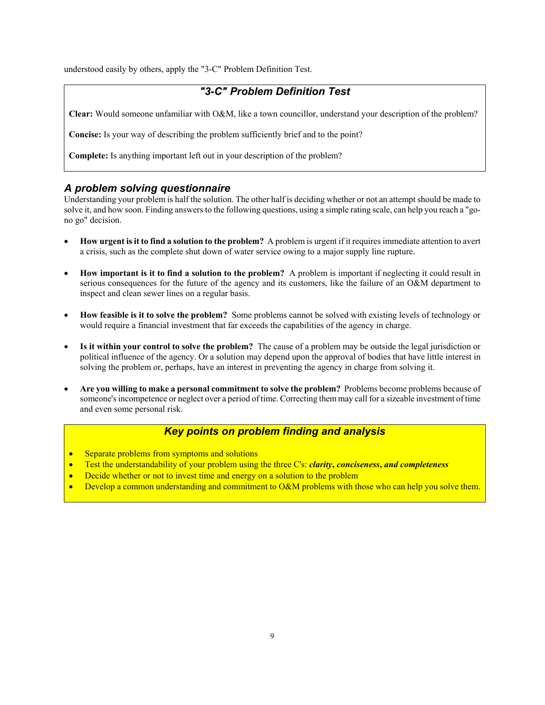understood easily by others, apply the "3-C" Problem Definition Test.

# *"3-C" Problem Definition Test*

**Clear:** Would someone unfamiliar with O&M, like a town councillor, understand your description of the problem?

**Concise:** Is your way of describing the problem sufficiently brief and to the point?

**Complete:** Is anything important left out in your description of the problem?

#### *A problem solving questionnaire*

Understanding your problem is half the solution. The other half is deciding whether or not an attempt should be made to solve it, and how soon. Finding answers to the following questions, using a simple rating scale, can help you reach a "gono go" decision.

- **How urgent is it to find a solution to the problem?** A problem is urgent if it requires immediate attention to avert a crisis, such as the complete shut down of water service owing to a major supply line rupture.
- **How important is it to find a solution to the problem?** A problem is important if neglecting it could result in serious consequences for the future of the agency and its customers, like the failure of an O&M department to inspect and clean sewer lines on a regular basis.
- **How feasible is it to solve the problem?** Some problems cannot be solved with existing levels of technology or would require a financial investment that far exceeds the capabilities of the agency in charge.
- **Is it within your control to solve the problem?** The cause of a problem may be outside the legal jurisdiction or political influence of the agency. Or a solution may depend upon the approval of bodies that have little interest in solving the problem or, perhaps, have an interest in preventing the agency in charge from solving it.
- **Are you willing to make a personal commitment to solve the problem?** Problems become problems because of someone's incompetence or neglect over a period of time. Correcting them may call for a sizeable investment of time and even some personal risk.

## *Key points on problem finding and analysis*

- Separate problems from symptoms and solutions
- Test the understandability of your problem using the three C's: *clarity***,** *conciseness***,** *and completeness*
- Decide whether or not to invest time and energy on a solution to the problem
- Develop a common understanding and commitment to O&M problems with those who can help you solve them.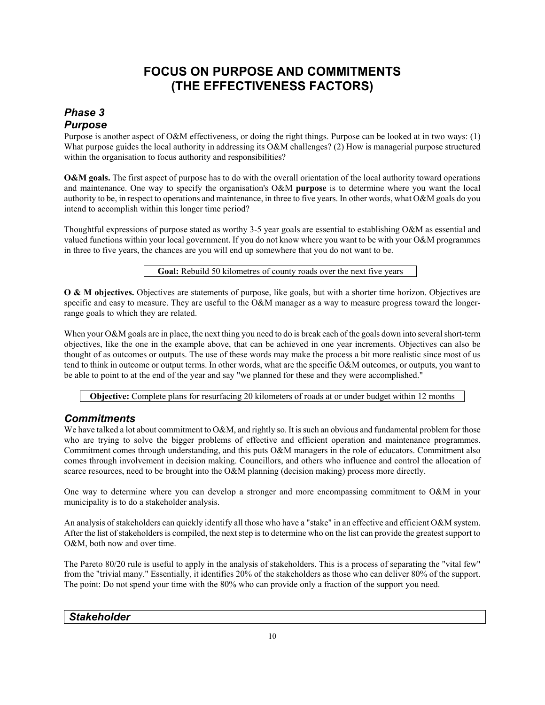# **FOCUS ON PURPOSE AND COMMITMENTS (THE EFFECTIVENESS FACTORS)**

# *Phase 3 Purpose*

Purpose is another aspect of O&M effectiveness, or doing the right things. Purpose can be looked at in two ways: (1) What purpose guides the local authority in addressing its O&M challenges? (2) How is managerial purpose structured within the organisation to focus authority and responsibilities?

**O&M goals.** The first aspect of purpose has to do with the overall orientation of the local authority toward operations and maintenance. One way to specify the organisation's O&M **purpose** is to determine where you want the local authority to be, in respect to operations and maintenance, in three to five years. In other words, what O&M goals do you intend to accomplish within this longer time period?

Thoughtful expressions of purpose stated as worthy 3-5 year goals are essential to establishing O&M as essential and valued functions within your local government. If you do not know where you want to be with your O&M programmes in three to five years, the chances are you will end up somewhere that you do not want to be.

**Goal:** Rebuild 50 kilometres of county roads over the next five years

**O & M objectives.** Objectives are statements of purpose, like goals, but with a shorter time horizon. Objectives are specific and easy to measure. They are useful to the O&M manager as a way to measure progress toward the longerrange goals to which they are related.

When your O&M goals are in place, the next thing you need to do is break each of the goals down into several short-term objectives, like the one in the example above, that can be achieved in one year increments. Objectives can also be thought of as outcomes or outputs. The use of these words may make the process a bit more realistic since most of us tend to think in outcome or output terms. In other words, what are the specific O&M outcomes, or outputs, you want to be able to point to at the end of the year and say "we planned for these and they were accomplished."

**Objective:** Complete plans for resurfacing 20 kilometers of roads at or under budget within 12 months

# *Commitments*

We have talked a lot about commitment to O&M, and rightly so. It is such an obvious and fundamental problem for those who are trying to solve the bigger problems of effective and efficient operation and maintenance programmes. Commitment comes through understanding, and this puts O&M managers in the role of educators. Commitment also comes through involvement in decision making. Councillors, and others who influence and control the allocation of scarce resources, need to be brought into the O&M planning (decision making) process more directly.

One way to determine where you can develop a stronger and more encompassing commitment to O&M in your municipality is to do a stakeholder analysis.

An analysis of stakeholders can quickly identify all those who have a "stake" in an effective and efficient O&M system. After the list of stakeholders is compiled, the next step is to determine who on the list can provide the greatest support to O&M, both now and over time.

The Pareto 80/20 rule is useful to apply in the analysis of stakeholders. This is a process of separating the "vital few" from the "trivial many." Essentially, it identifies 20% of the stakeholders as those who can deliver 80% of the support. The point: Do not spend your time with the 80% who can provide only a fraction of the support you need.

*Stakeholder*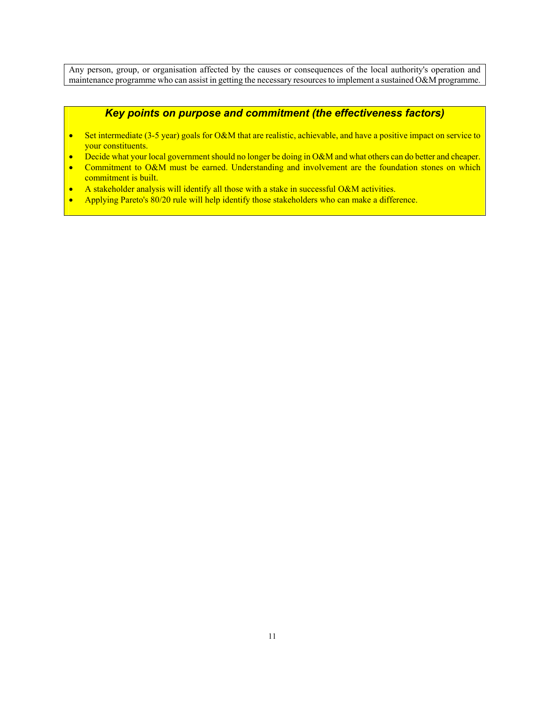Any person, group, or organisation affected by the causes or consequences of the local authority's operation and maintenance programme who can assist in getting the necessary resources to implement a sustained O&M programme.

#### *Key points on purpose and commitment (the effectiveness factors)*

- Set intermediate (3-5 year) goals for O&M that are realistic, achievable, and have a positive impact on service to your constituents.
- Decide what your local government should no longer be doing in O&M and what others can do better and cheaper.
- Commitment to O&M must be earned. Understanding and involvement are the foundation stones on which commitment is built.
- A stakeholder analysis will identify all those with a stake in successful O&M activities.
- Applying Pareto's 80/20 rule will help identify those stakeholders who can make a difference.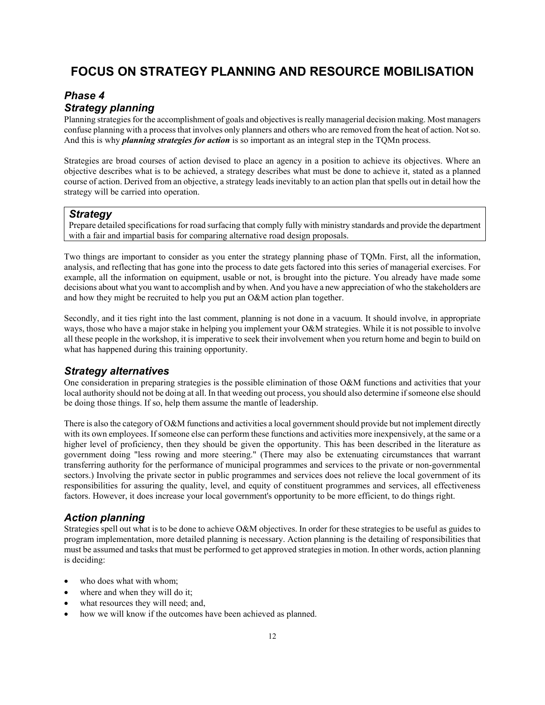# **FOCUS ON STRATEGY PLANNING AND RESOURCE MOBILISATION**

## *Phase 4 Strategy planning*

Planning strategies for the accomplishment of goals and objectives is really managerial decision making. Most managers confuse planning with a process that involves only planners and others who are removed from the heat of action. Not so. And this is why *planning strategies for action* is so important as an integral step in the TQMn process.

Strategies are broad courses of action devised to place an agency in a position to achieve its objectives. Where an objective describes what is to be achieved, a strategy describes what must be done to achieve it, stated as a planned course of action. Derived from an objective, a strategy leads inevitably to an action plan that spells out in detail how the strategy will be carried into operation.

#### *Strategy*

Prepare detailed specifications for road surfacing that comply fully with ministry standards and provide the department with a fair and impartial basis for comparing alternative road design proposals.

Two things are important to consider as you enter the strategy planning phase of TQMn. First, all the information, analysis, and reflecting that has gone into the process to date gets factored into this series of managerial exercises. For example, all the information on equipment, usable or not, is brought into the picture. You already have made some decisions about what you want to accomplish and by when. And you have a new appreciation of who the stakeholders are and how they might be recruited to help you put an O&M action plan together.

Secondly, and it ties right into the last comment, planning is not done in a vacuum. It should involve, in appropriate ways, those who have a major stake in helping you implement your O&M strategies. While it is not possible to involve all these people in the workshop, it is imperative to seek their involvement when you return home and begin to build on what has happened during this training opportunity.

#### *Strategy alternatives*

One consideration in preparing strategies is the possible elimination of those O&M functions and activities that your local authority should not be doing at all. In that weeding out process, you should also determine if someone else should be doing those things. If so, help them assume the mantle of leadership.

There is also the category of O&M functions and activities a local government should provide but not implement directly with its own employees. If someone else can perform these functions and activities more inexpensively, at the same or a higher level of proficiency, then they should be given the opportunity. This has been described in the literature as government doing "less rowing and more steering." (There may also be extenuating circumstances that warrant transferring authority for the performance of municipal programmes and services to the private or non-governmental sectors.) Involving the private sector in public programmes and services does not relieve the local government of its responsibilities for assuring the quality, level, and equity of constituent programmes and services, all effectiveness factors. However, it does increase your local government's opportunity to be more efficient, to do things right.

#### *Action planning*

Strategies spell out what is to be done to achieve O&M objectives. In order for these strategies to be useful as guides to program implementation, more detailed planning is necessary. Action planning is the detailing of responsibilities that must be assumed and tasks that must be performed to get approved strategies in motion. In other words, action planning is deciding:

- who does what with whom:
- where and when they will do it;
- what resources they will need; and,
- how we will know if the outcomes have been achieved as planned.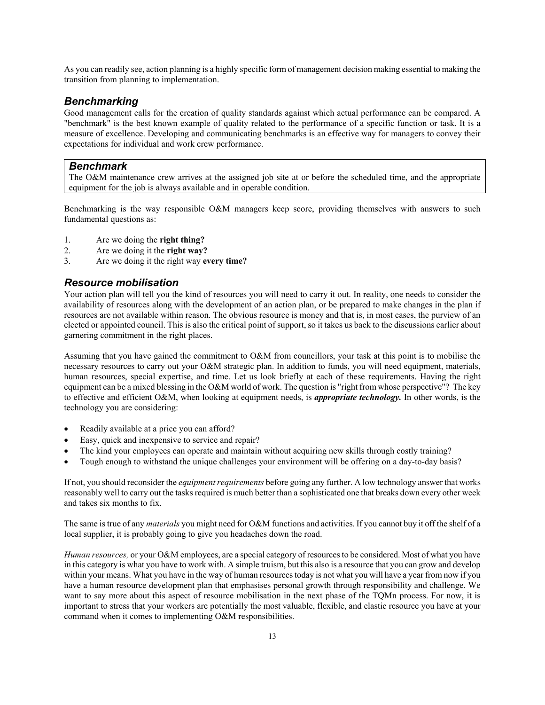As you can readily see, action planning is a highly specific form of management decision making essential to making the transition from planning to implementation.

#### *Benchmarking*

Good management calls for the creation of quality standards against which actual performance can be compared. A "benchmark" is the best known example of quality related to the performance of a specific function or task. It is a measure of excellence. Developing and communicating benchmarks is an effective way for managers to convey their expectations for individual and work crew performance.

#### *Benchmark*

The O&M maintenance crew arrives at the assigned job site at or before the scheduled time, and the appropriate equipment for the job is always available and in operable condition.

Benchmarking is the way responsible O&M managers keep score, providing themselves with answers to such fundamental questions as:

- 1. Are we doing the **right thing?**
- 2. Are we doing it the **right way?**
- 3. Are we doing it the right way **every time?**

#### *Resource mobilisation*

Your action plan will tell you the kind of resources you will need to carry it out. In reality, one needs to consider the availability of resources along with the development of an action plan, or be prepared to make changes in the plan if resources are not available within reason. The obvious resource is money and that is, in most cases, the purview of an elected or appointed council. This is also the critical point of support, so it takes us back to the discussions earlier about garnering commitment in the right places.

Assuming that you have gained the commitment to O&M from councillors, your task at this point is to mobilise the necessary resources to carry out your O&M strategic plan. In addition to funds, you will need equipment, materials, human resources, special expertise, and time. Let us look briefly at each of these requirements. Having the right equipment can be a mixed blessing in the O&M world of work. The question is "right from whose perspective"? The key to effective and efficient O&M, when looking at equipment needs, is *appropriate technology.* In other words, is the technology you are considering:

- Readily available at a price you can afford?
- Easy, quick and inexpensive to service and repair?
- The kind your employees can operate and maintain without acquiring new skills through costly training?
- Tough enough to withstand the unique challenges your environment will be offering on a day-to-day basis?

If not, you should reconsider the *equipment requirements* before going any further. A low technology answer that works reasonably well to carry out the tasks required is much better than a sophisticated one that breaks down every other week and takes six months to fix.

The same is true of any *materials* you might need for O&M functions and activities. If you cannot buy it off the shelf of a local supplier, it is probably going to give you headaches down the road.

*Human resources,* or your O&M employees, are a special category of resources to be considered. Most of what you have in this category is what you have to work with. A simple truism, but this also is a resource that you can grow and develop within your means. What you have in the way of human resources today is not what you will have a year from now if you have a human resource development plan that emphasises personal growth through responsibility and challenge. We want to say more about this aspect of resource mobilisation in the next phase of the TQMn process. For now, it is important to stress that your workers are potentially the most valuable, flexible, and elastic resource you have at your command when it comes to implementing O&M responsibilities.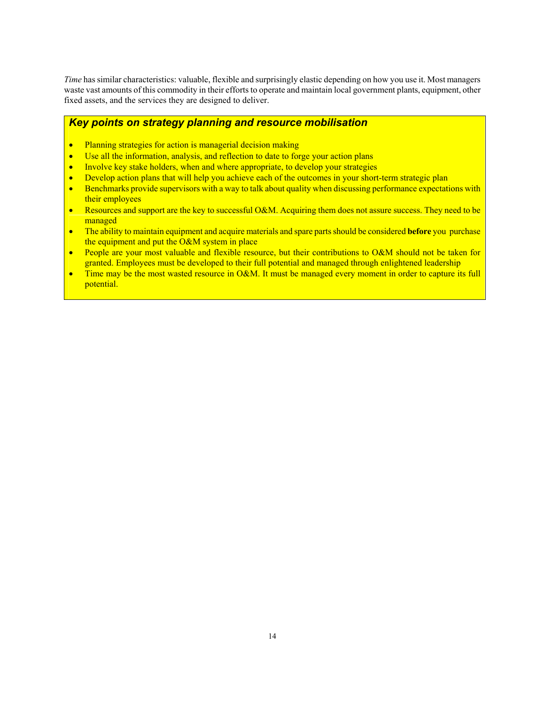*Time* has similar characteristics: valuable, flexible and surprisingly elastic depending on how you use it. Most managers waste vast amounts of this commodity in their efforts to operate and maintain local government plants, equipment, other fixed assets, and the services they are designed to deliver.

#### *Key points on strategy planning and resource mobilisation*

- Planning strategies for action is managerial decision making
- Use all the information, analysis, and reflection to date to forge your action plans
- Involve key stake holders, when and where appropriate, to develop your strategies
- Develop action plans that will help you achieve each of the outcomes in your short-term strategic plan
- Benchmarks provide supervisors with a way to talk about quality when discussing performance expectations with their employees
- Resources and support are the key to successful O&M. Acquiring them does not assure success. They need to be managed
- The ability to maintain equipment and acquire materials and spare parts should be considered **before** you purchase the equipment and put the O&M system in place
- People are your most valuable and flexible resource, but their contributions to O&M should not be taken for granted. Employees must be developed to their full potential and managed through enlightened leadership
- Time may be the most wasted resource in O&M. It must be managed every moment in order to capture its full potential.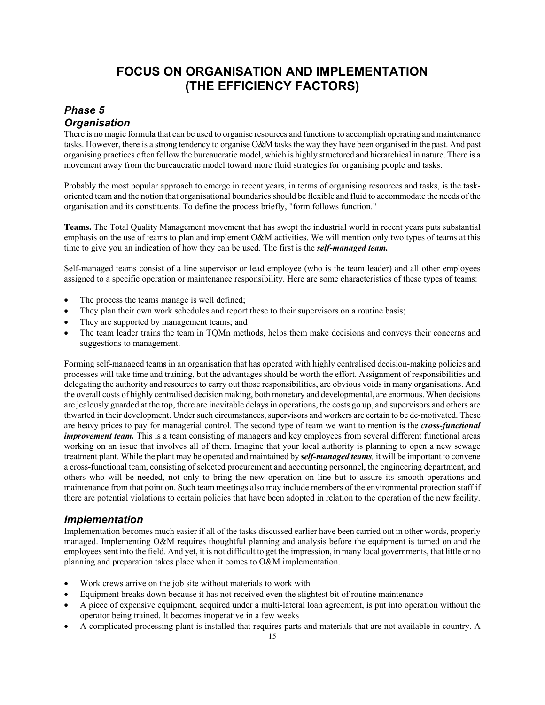# **FOCUS ON ORGANISATION AND IMPLEMENTATION (THE EFFICIENCY FACTORS)**

## *Phase 5 Organisation*

There is no magic formula that can be used to organise resources and functions to accomplish operating and maintenance tasks. However, there is a strong tendency to organise O&M tasks the way they have been organised in the past. And past organising practices often follow the bureaucratic model, which is highly structured and hierarchical in nature. There is a movement away from the bureaucratic model toward more fluid strategies for organising people and tasks.

Probably the most popular approach to emerge in recent years, in terms of organising resources and tasks, is the taskoriented team and the notion that organisational boundaries should be flexible and fluid to accommodate the needs of the organisation and its constituents. To define the process briefly, "form follows function."

**Teams.** The Total Quality Management movement that has swept the industrial world in recent years puts substantial emphasis on the use of teams to plan and implement O&M activities. We will mention only two types of teams at this time to give you an indication of how they can be used. The first is the *self-managed team.*

Self-managed teams consist of a line supervisor or lead employee (who is the team leader) and all other employees assigned to a specific operation or maintenance responsibility. Here are some characteristics of these types of teams:

- The process the teams manage is well defined;
- They plan their own work schedules and report these to their supervisors on a routine basis;
- They are supported by management teams; and
- The team leader trains the team in TQMn methods, helps them make decisions and conveys their concerns and suggestions to management.

Forming self-managed teams in an organisation that has operated with highly centralised decision-making policies and processes will take time and training, but the advantages should be worth the effort. Assignment of responsibilities and delegating the authority and resources to carry out those responsibilities, are obvious voids in many organisations. And the overall costs of highly centralised decision making, both monetary and developmental, are enormous. When decisions are jealously guarded at the top, there are inevitable delays in operations, the costs go up, and supervisors and others are thwarted in their development. Under such circumstances, supervisors and workers are certain to be de-motivated. These are heavy prices to pay for managerial control. The second type of team we want to mention is the *cross-functional improvement team.* This is a team consisting of managers and key employees from several different functional areas working on an issue that involves all of them. Imagine that your local authority is planning to open a new sewage treatment plant. While the plant may be operated and maintained by *self-managed teams,* it will be important to convene a cross-functional team, consisting of selected procurement and accounting personnel, the engineering department, and others who will be needed, not only to bring the new operation on line but to assure its smooth operations and maintenance from that point on. Such team meetings also may include members of the environmental protection staff if there are potential violations to certain policies that have been adopted in relation to the operation of the new facility.

#### *Implementation*

Implementation becomes much easier if all of the tasks discussed earlier have been carried out in other words, properly managed. Implementing O&M requires thoughtful planning and analysis before the equipment is turned on and the employees sent into the field. And yet, it is not difficult to get the impression, in many local governments, that little or no planning and preparation takes place when it comes to O&M implementation.

- Work crews arrive on the job site without materials to work with
- Equipment breaks down because it has not received even the slightest bit of routine maintenance
- A piece of expensive equipment, acquired under a multi-lateral loan agreement, is put into operation without the operator being trained. It becomes inoperative in a few weeks
- A complicated processing plant is installed that requires parts and materials that are not available in country. A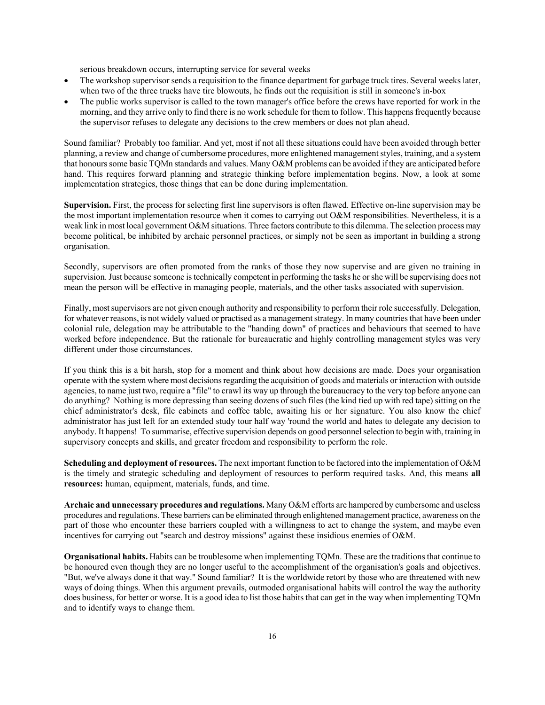serious breakdown occurs, interrupting service for several weeks

- The workshop supervisor sends a requisition to the finance department for garbage truck tires. Several weeks later, when two of the three trucks have tire blowouts, he finds out the requisition is still in someone's in-box
- The public works supervisor is called to the town manager's office before the crews have reported for work in the morning, and they arrive only to find there is no work schedule for them to follow. This happens frequently because the supervisor refuses to delegate any decisions to the crew members or does not plan ahead.

Sound familiar? Probably too familiar. And yet, most if not all these situations could have been avoided through better planning, a review and change of cumbersome procedures, more enlightened management styles, training, and a system that honours some basic TQMn standards and values. Many O&M problems can be avoided if they are anticipated before hand. This requires forward planning and strategic thinking before implementation begins. Now, a look at some implementation strategies, those things that can be done during implementation.

**Supervision.** First, the process for selecting first line supervisors is often flawed. Effective on-line supervision may be the most important implementation resource when it comes to carrying out O&M responsibilities. Nevertheless, it is a weak link in most local government O&M situations. Three factors contribute to this dilemma. The selection process may become political, be inhibited by archaic personnel practices, or simply not be seen as important in building a strong organisation.

Secondly, supervisors are often promoted from the ranks of those they now supervise and are given no training in supervision. Just because someone is technically competent in performing the tasks he or she will be supervising does not mean the person will be effective in managing people, materials, and the other tasks associated with supervision.

Finally, most supervisors are not given enough authority and responsibility to perform their role successfully. Delegation, for whatever reasons, is not widely valued or practised as a management strategy. In many countries that have been under colonial rule, delegation may be attributable to the "handing down" of practices and behaviours that seemed to have worked before independence. But the rationale for bureaucratic and highly controlling management styles was very different under those circumstances.

If you think this is a bit harsh, stop for a moment and think about how decisions are made. Does your organisation operate with the system where most decisions regarding the acquisition of goods and materials or interaction with outside agencies, to name just two, require a "file" to crawl its way up through the bureaucracy to the very top before anyone can do anything? Nothing is more depressing than seeing dozens of such files (the kind tied up with red tape) sitting on the chief administrator's desk, file cabinets and coffee table, awaiting his or her signature. You also know the chief administrator has just left for an extended study tour half way 'round the world and hates to delegate any decision to anybody. It happens! To summarise, effective supervision depends on good personnel selection to begin with, training in supervisory concepts and skills, and greater freedom and responsibility to perform the role.

**Scheduling and deployment of resources.** The next important function to be factored into the implementation of O&M is the timely and strategic scheduling and deployment of resources to perform required tasks. And, this means **all resources:** human, equipment, materials, funds, and time.

**Archaic and unnecessary procedures and regulations.** Many O&M efforts are hampered by cumbersome and useless procedures and regulations. These barriers can be eliminated through enlightened management practice, awareness on the part of those who encounter these barriers coupled with a willingness to act to change the system, and maybe even incentives for carrying out "search and destroy missions" against these insidious enemies of O&M.

**Organisational habits.** Habits can be troublesome when implementing TQMn. These are the traditions that continue to be honoured even though they are no longer useful to the accomplishment of the organisation's goals and objectives. "But, we've always done it that way." Sound familiar? It is the worldwide retort by those who are threatened with new ways of doing things. When this argument prevails, outmoded organisational habits will control the way the authority does business, for better or worse. It is a good idea to list those habits that can get in the way when implementing TQMn and to identify ways to change them.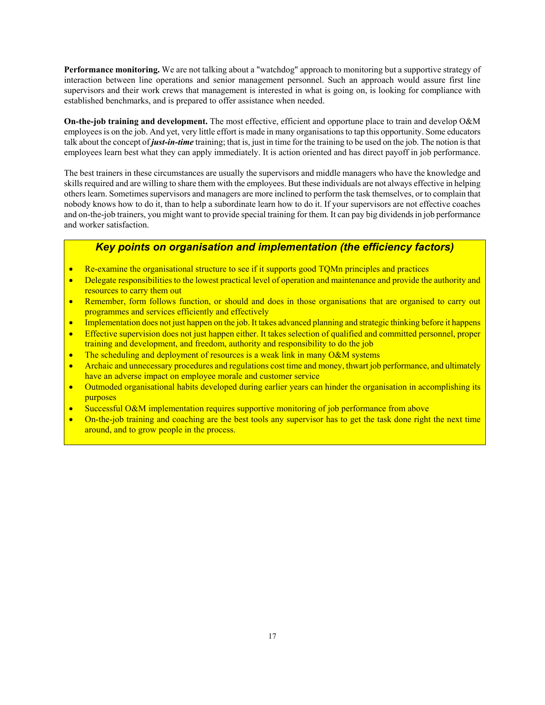**Performance monitoring.** We are not talking about a "watchdog" approach to monitoring but a supportive strategy of interaction between line operations and senior management personnel. Such an approach would assure first line supervisors and their work crews that management is interested in what is going on, is looking for compliance with established benchmarks, and is prepared to offer assistance when needed.

**On-the-job training and development.** The most effective, efficient and opportune place to train and develop O&M employees is on the job. And yet, very little effort is made in many organisations to tap this opportunity. Some educators talk about the concept of *just-in-time* training; that is, just in time for the training to be used on the job. The notion is that employees learn best what they can apply immediately. It is action oriented and has direct payoff in job performance.

The best trainers in these circumstances are usually the supervisors and middle managers who have the knowledge and skills required and are willing to share them with the employees. But these individuals are not always effective in helping others learn. Sometimes supervisors and managers are more inclined to perform the task themselves, or to complain that nobody knows how to do it, than to help a subordinate learn how to do it. If your supervisors are not effective coaches and on-the-job trainers, you might want to provide special training for them. It can pay big dividends in job performance and worker satisfaction.

## *Key points on organisation and implementation (the efficiency factors)*

- Re-examine the organisational structure to see if it supports good TQMn principles and practices
- Delegate responsibilities to the lowest practical level of operation and maintenance and provide the authority and resources to carry them out
- Remember, form follows function, or should and does in those organisations that are organised to carry out programmes and services efficiently and effectively
- Implementation does not just happen on the job. It takes advanced planning and strategic thinking before it happens
- Effective supervision does not just happen either. It takes selection of qualified and committed personnel, proper training and development, and freedom, authority and responsibility to do the job
- The scheduling and deployment of resources is a weak link in many O&M systems
- Archaic and unnecessary procedures and regulations cost time and money, thwart job performance, and ultimately have an adverse impact on employee morale and customer service
- Outmoded organisational habits developed during earlier years can hinder the organisation in accomplishing its purposes
- Successful O&M implementation requires supportive monitoring of job performance from above
- On-the-job training and coaching are the best tools any supervisor has to get the task done right the next time around, and to grow people in the process.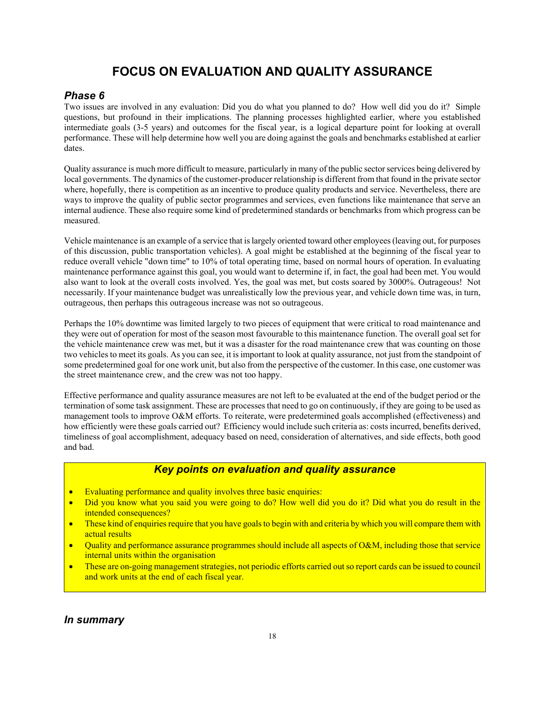# **FOCUS ON EVALUATION AND QUALITY ASSURANCE**

## *Phase 6*

Two issues are involved in any evaluation: Did you do what you planned to do? How well did you do it? Simple questions, but profound in their implications. The planning processes highlighted earlier, where you established intermediate goals (3-5 years) and outcomes for the fiscal year, is a logical departure point for looking at overall performance. These will help determine how well you are doing against the goals and benchmarks established at earlier dates.

Quality assurance is much more difficult to measure, particularly in many of the public sector services being delivered by local governments. The dynamics of the customer-producer relationship is different from that found in the private sector where, hopefully, there is competition as an incentive to produce quality products and service. Nevertheless, there are ways to improve the quality of public sector programmes and services, even functions like maintenance that serve an internal audience. These also require some kind of predetermined standards or benchmarks from which progress can be measured.

Vehicle maintenance is an example of a service that is largely oriented toward other employees (leaving out, for purposes of this discussion, public transportation vehicles). A goal might be established at the beginning of the fiscal year to reduce overall vehicle "down time" to 10% of total operating time, based on normal hours of operation. In evaluating maintenance performance against this goal, you would want to determine if, in fact, the goal had been met. You would also want to look at the overall costs involved. Yes, the goal was met, but costs soared by 3000%. Outrageous! Not necessarily. If your maintenance budget was unrealistically low the previous year, and vehicle down time was, in turn, outrageous, then perhaps this outrageous increase was not so outrageous.

Perhaps the 10% downtime was limited largely to two pieces of equipment that were critical to road maintenance and they were out of operation for most of the season most favourable to this maintenance function. The overall goal set for the vehicle maintenance crew was met, but it was a disaster for the road maintenance crew that was counting on those two vehicles to meet its goals. As you can see, it is important to look at quality assurance, not just from the standpoint of some predetermined goal for one work unit, but also from the perspective of the customer. In this case, one customer was the street maintenance crew, and the crew was not too happy.

Effective performance and quality assurance measures are not left to be evaluated at the end of the budget period or the termination of some task assignment. These are processes that need to go on continuously, if they are going to be used as management tools to improve O&M efforts. To reiterate, were predetermined goals accomplished (effectiveness) and how efficiently were these goals carried out? Efficiency would include such criteria as: costs incurred, benefits derived, timeliness of goal accomplishment, adequacy based on need, consideration of alternatives, and side effects, both good and bad.

#### *Key points on evaluation and quality assurance*

- Evaluating performance and quality involves three basic enquiries:
- Did you know what you said you were going to do? How well did you do it? Did what you do result in the intended consequences?
- These kind of enquiries require that you have goals to begin with and criteria by which you will compare them with actual results
- Quality and performance assurance programmes should include all aspects of O&M, including those that service internal units within the organisation
- These are on-going management strategies, not periodic efforts carried out so report cards can be issued to council and work units at the end of each fiscal year.

*In summary*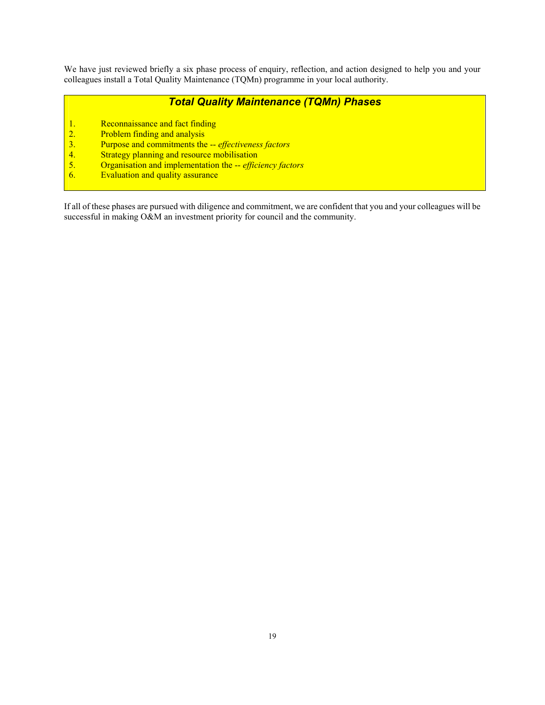We have just reviewed briefly a six phase process of enquiry, reflection, and action designed to help you and your colleagues install a Total Quality Maintenance (TQMn) programme in your local authority.

## *Total Quality Maintenance (TQMn) Phases*

- 1. Reconnaissance and fact finding<br>
2. Problem finding and analysis<br>
3. Purpose and commitments the --<br>
4. Strategy planning and resource m<br>
5. Organisation and implementation<br>
6. Evaluation and quality assurance
- Problem finding and analysis
- 3. Purpose and commitments the -- *effectiveness factors*
- Strategy planning and resource mobilisation
- 5. Organisation and implementation the -- *efficiency factors*
- **Evaluation and quality assurance**

If all of these phases are pursued with diligence and commitment, we are confident that you and your colleagues will be successful in making O&M an investment priority for council and the community.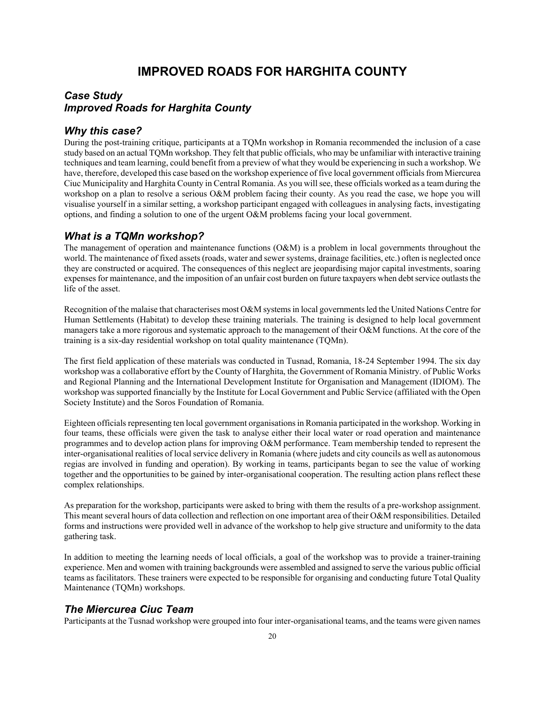# **IMPROVED ROADS FOR HARGHITA COUNTY**

#### *Case Study Improved Roads for Harghita County*

#### *Why this case?*

During the post-training critique, participants at a TQMn workshop in Romania recommended the inclusion of a case study based on an actual TQMn workshop. They felt that public officials, who may be unfamiliar with interactive training techniques and team learning, could benefit from a preview of what they would be experiencing in such a workshop. We have, therefore, developed this case based on the workshop experience of five local government officials from Miercurea Ciuc Municipality and Harghita County in Central Romania. As you will see, these officials worked as a team during the workshop on a plan to resolve a serious O&M problem facing their county. As you read the case, we hope you will visualise yourself in a similar setting, a workshop participant engaged with colleagues in analysing facts, investigating options, and finding a solution to one of the urgent O&M problems facing your local government.

#### *What is a TQMn workshop?*

The management of operation and maintenance functions (O&M) is a problem in local governments throughout the world. The maintenance of fixed assets (roads, water and sewer systems, drainage facilities, etc.) often is neglected once they are constructed or acquired. The consequences of this neglect are jeopardising major capital investments, soaring expenses for maintenance, and the imposition of an unfair cost burden on future taxpayers when debt service outlasts the life of the asset.

Recognition of the malaise that characterises most O&M systems in local governments led the United Nations Centre for Human Settlements (Habitat) to develop these training materials. The training is designed to help local government managers take a more rigorous and systematic approach to the management of their O&M functions. At the core of the training is a six-day residential workshop on total quality maintenance (TQMn).

The first field application of these materials was conducted in Tusnad, Romania, 18-24 September 1994. The six day workshop was a collaborative effort by the County of Harghita, the Government of Romania Ministry. of Public Works and Regional Planning and the International Development Institute for Organisation and Management (IDIOM). The workshop was supported financially by the Institute for Local Government and Public Service (affiliated with the Open Society Institute) and the Soros Foundation of Romania.

Eighteen officials representing ten local government organisations in Romania participated in the workshop. Working in four teams, these officials were given the task to analyse either their local water or road operation and maintenance programmes and to develop action plans for improving O&M performance. Team membership tended to represent the inter-organisational realities of local service delivery in Romania (where judets and city councils as well as autonomous regias are involved in funding and operation). By working in teams, participants began to see the value of working together and the opportunities to be gained by inter-organisational cooperation. The resulting action plans reflect these complex relationships.

As preparation for the workshop, participants were asked to bring with them the results of a pre-workshop assignment. This meant several hours of data collection and reflection on one important area of their O&M responsibilities. Detailed forms and instructions were provided well in advance of the workshop to help give structure and uniformity to the data gathering task.

In addition to meeting the learning needs of local officials, a goal of the workshop was to provide a trainer-training experience. Men and women with training backgrounds were assembled and assigned to serve the various public official teams as facilitators. These trainers were expected to be responsible for organising and conducting future Total Quality Maintenance (TQMn) workshops.

#### *The Miercurea Ciuc Team*

Participants at the Tusnad workshop were grouped into four inter-organisational teams, and the teams were given names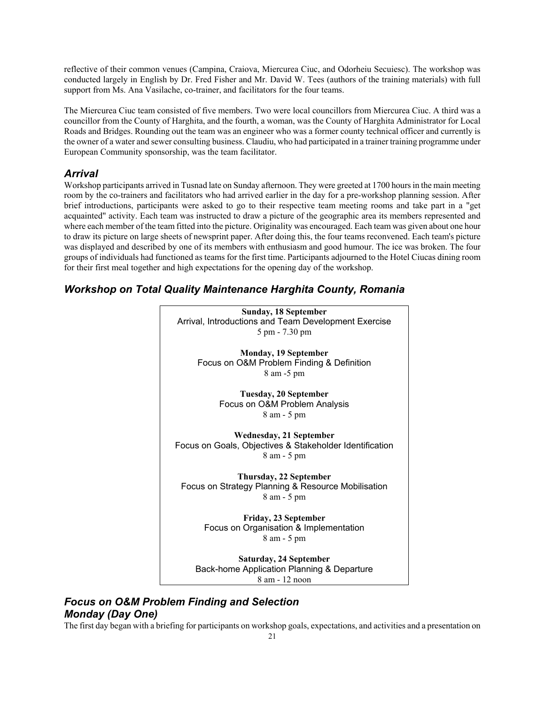reflective of their common venues (Campina, Craiova, Miercurea Ciuc, and Odorheiu Secuiesc). The workshop was conducted largely in English by Dr. Fred Fisher and Mr. David W. Tees (authors of the training materials) with full support from Ms. Ana Vasilache, co-trainer, and facilitators for the four teams.

The Miercurea Ciuc team consisted of five members. Two were local councillors from Miercurea Ciuc. A third was a councillor from the County of Harghita, and the fourth, a woman, was the County of Harghita Administrator for Local Roads and Bridges. Rounding out the team was an engineer who was a former county technical officer and currently is the owner of a water and sewer consulting business. Claudiu, who had participated in a trainer training programme under European Community sponsorship, was the team facilitator.

#### *Arrival*

Workshop participants arrived in Tusnad late on Sunday afternoon. They were greeted at 1700 hours in the main meeting room by the co-trainers and facilitators who had arrived earlier in the day for a pre-workshop planning session. After brief introductions, participants were asked to go to their respective team meeting rooms and take part in a "get acquainted" activity. Each team was instructed to draw a picture of the geographic area its members represented and where each member of the team fitted into the picture. Originality was encouraged. Each team was given about one hour to draw its picture on large sheets of newsprint paper. After doing this, the four teams reconvened. Each team's picture was displayed and described by one of its members with enthusiasm and good humour. The ice was broken. The four groups of individuals had functioned as teams for the first time. Participants adjourned to the Hotel Ciucas dining room for their first meal together and high expectations for the opening day of the workshop.

## *Workshop on Total Quality Maintenance Harghita County, Romania*



## *Focus on O&M Problem Finding and Selection Monday (Day One)*

The first day began with a briefing for participants on workshop goals, expectations, and activities and a presentation on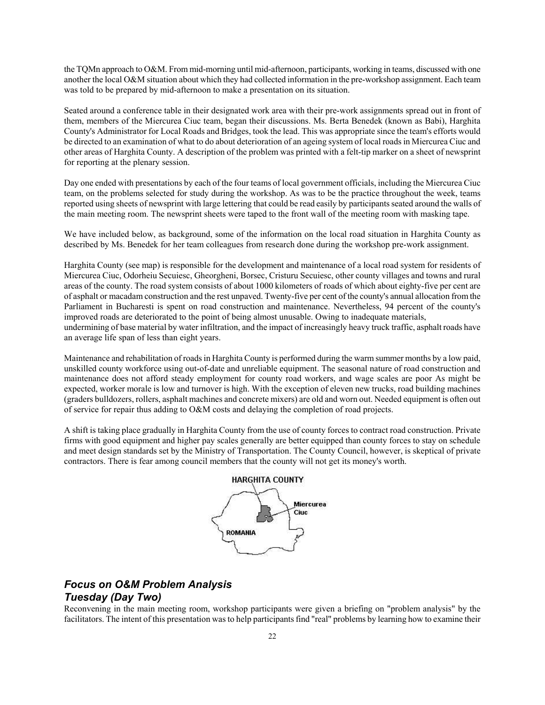the TQMn approach to O&M. From mid-morning until mid-afternoon, participants, working in teams, discussed with one another the local O&M situation about which they had collected information in the pre-workshop assignment. Each team was told to be prepared by mid-afternoon to make a presentation on its situation.

Seated around a conference table in their designated work area with their pre-work assignments spread out in front of them, members of the Miercurea Ciuc team, began their discussions. Ms. Berta Benedek (known as Babi), Harghita County's Administrator for Local Roads and Bridges, took the lead. This was appropriate since the team's efforts would be directed to an examination of what to do about deterioration of an ageing system of local roads in Miercurea Ciuc and other areas of Harghita County. A description of the problem was printed with a felt-tip marker on a sheet of newsprint for reporting at the plenary session.

Day one ended with presentations by each of the four teams of local government officials, including the Miercurea Ciuc team, on the problems selected for study during the workshop. As was to be the practice throughout the week, teams reported using sheets of newsprint with large lettering that could be read easily by participants seated around the walls of the main meeting room. The newsprint sheets were taped to the front wall of the meeting room with masking tape.

We have included below, as background, some of the information on the local road situation in Harghita County as described by Ms. Benedek for her team colleagues from research done during the workshop pre-work assignment.

Harghita County (see map) is responsible for the development and maintenance of a local road system for residents of Miercurea Ciuc, Odorheiu Secuiesc, Gheorgheni, Borsec, Cristuru Secuiesc, other county villages and towns and rural areas of the county. The road system consists of about 1000 kilometers of roads of which about eighty-five per cent are of asphalt or macadam construction and the rest unpaved. Twenty-five per cent of the county's annual allocation from the Parliament in Bucharesti is spent on road construction and maintenance. Nevertheless, 94 percent of the county's improved roads are deteriorated to the point of being almost unusable. Owing to inadequate materials, undermining of base material by water infiltration, and the impact of increasingly heavy truck traffic, asphalt roads have an average life span of less than eight years.

Maintenance and rehabilitation of roads in Harghita County is performed during the warm summer months by a low paid, unskilled county workforce using out-of-date and unreliable equipment. The seasonal nature of road construction and maintenance does not afford steady employment for county road workers, and wage scales are poor As might be expected, worker morale is low and turnover is high. With the exception of eleven new trucks, road building machines (graders bulldozers, rollers, asphalt machines and concrete mixers) are old and worn out. Needed equipment is often out of service for repair thus adding to O&M costs and delaying the completion of road projects.

A shift is taking place gradually in Harghita County from the use of county forces to contract road construction. Private firms with good equipment and higher pay scales generally are better equipped than county forces to stay on schedule and meet design standards set by the Ministry of Transportation. The County Council, however, is skeptical of private contractors. There is fear among council members that the county will not get its money's worth.



## *Focus on O&M Problem Analysis Tuesday (Day Two)*

Reconvening in the main meeting room, workshop participants were given a briefing on "problem analysis" by the facilitators. The intent of this presentation was to help participants find "real" problems by learning how to examine their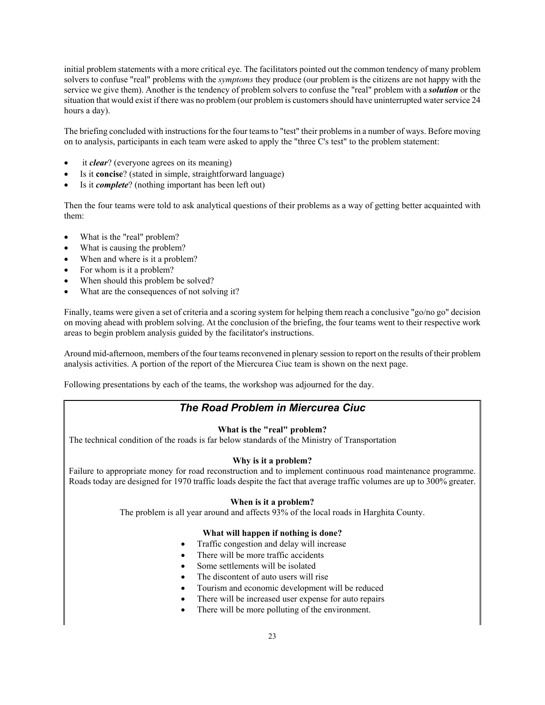initial problem statements with a more critical eye. The facilitators pointed out the common tendency of many problem solvers to confuse "real" problems with the *symptoms* they produce (our problem is the citizens are not happy with the service we give them). Another is the tendency of problem solvers to confuse the "real" problem with a *solution* or the situation that would exist if there was no problem (our problem is customers should have uninterrupted water service 24 hours a day).

The briefing concluded with instructions for the four teams to "test" their problems in a number of ways. Before moving on to analysis, participants in each team were asked to apply the "three C's test" to the problem statement:

- it *clear*? (everyone agrees on its meaning)
- Is it **concise**? (stated in simple, straightforward language)
- Is it *complete*? (nothing important has been left out)

Then the four teams were told to ask analytical questions of their problems as a way of getting better acquainted with them:

- What is the "real" problem?
- What is causing the problem?
- When and where is it a problem?
- For whom is it a problem?
- When should this problem be solved?
- What are the consequences of not solving it?

Finally, teams were given a set of criteria and a scoring system for helping them reach a conclusive "go/no go" decision on moving ahead with problem solving. At the conclusion of the briefing, the four teams went to their respective work areas to begin problem analysis guided by the facilitator's instructions.

Around mid-afternoon, members of the four teams reconvened in plenary session to report on the results of their problem analysis activities. A portion of the report of the Miercurea Ciuc team is shown on the next page.

Following presentations by each of the teams, the workshop was adjourned for the day.

#### *The Road Problem in Miercurea Ciuc*

#### **What is the "real" problem?**

The technical condition of the roads is far below standards of the Ministry of Transportation

#### **Why is it a problem?**

Failure to appropriate money for road reconstruction and to implement continuous road maintenance programme. Roads today are designed for 1970 traffic loads despite the fact that average traffic volumes are up to 300% greater.

#### **When is it a problem?**

The problem is all year around and affects 93% of the local roads in Harghita County.

#### **What will happen if nothing is done?**

- Traffic congestion and delay will increase
- There will be more traffic accidents
- Some settlements will be isolated
- The discontent of auto users will rise
- Tourism and economic development will be reduced
- There will be increased user expense for auto repairs
- There will be more polluting of the environment.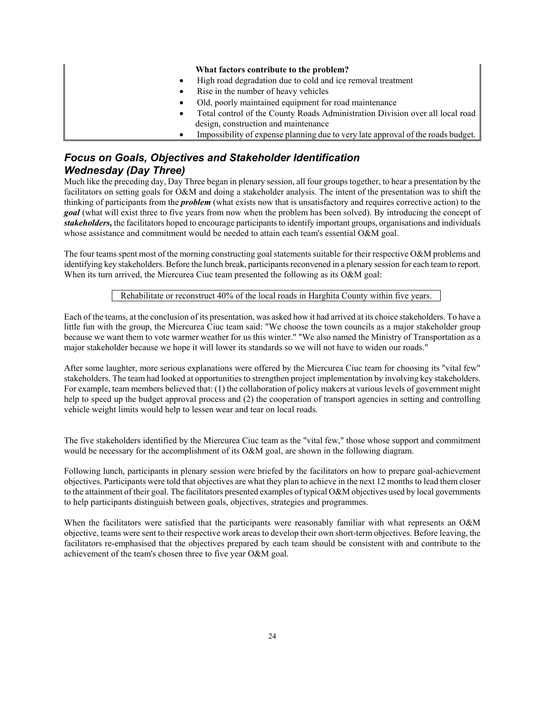#### **What factors contribute to the problem?**

- High road degradation due to cold and ice removal treatment
- Rise in the number of heavy vehicles
- Old, poorly maintained equipment for road maintenance
- Total control of the County Roads Administration Division over all local road design, construction and maintenance
- Impossibility of expense planning due to very late approval of the roads budget.

## *Focus on Goals, Objectives and Stakeholder Identification Wednesday (Day Three)*

Much like the preceding day, Day Three began in plenary session, all four groups together, to hear a presentation by the facilitators on setting goals for O&M and doing a stakeholder analysis. The intent of the presentation was to shift the thinking of participants from the *problem* (what exists now that is unsatisfactory and requires corrective action) to the *goal* (what will exist three to five years from now when the problem has been solved). By introducing the concept of *stakeholders,* the facilitators hoped to encourage participants to identify important groups, organisations and individuals whose assistance and commitment would be needed to attain each team's essential O&M goal.

The four teams spent most of the morning constructing goal statements suitable for their respective O&M problems and identifying key stakeholders. Before the lunch break, participants reconvened in a plenary session for each team to report. When its turn arrived, the Miercurea Ciuc team presented the following as its O&M goal:

#### Rehabilitate or reconstruct 40% of the local roads in Harghita County within five years.

Each of the teams, at the conclusion of its presentation, was asked how it had arrived at its choice stakeholders. To have a little fun with the group, the Miercurea Ciuc team said: "We choose the town councils as a major stakeholder group because we want them to vote warmer weather for us this winter." "We also named the Ministry of Transportation as a major stakeholder because we hope it will lower its standards so we will not have to widen our roads."

After some laughter, more serious explanations were offered by the Miercurea Ciuc team for choosing its "vital few" stakeholders. The team had looked at opportunities to strengthen project implementation by involving key stakeholders. For example, team members believed that: (1) the collaboration of policy makers at various levels of government might help to speed up the budget approval process and (2) the cooperation of transport agencies in setting and controlling vehicle weight limits would help to lessen wear and tear on local roads.

The five stakeholders identified by the Miercurea Ciuc team as the "vital few," those whose support and commitment would be necessary for the accomplishment of its O&M goal, are shown in the following diagram.

Following lunch, participants in plenary session were briefed by the facilitators on how to prepare goal-achievement objectives. Participants were told that objectives are what they plan to achieve in the next 12 months to lead them closer to the attainment of their goal. The facilitators presented examples of typical O&M objectives used by local governments to help participants distinguish between goals, objectives, strategies and programmes.

When the facilitators were satisfied that the participants were reasonably familiar with what represents an O&M objective, teams were sent to their respective work areas to develop their own short-term objectives. Before leaving, the facilitators re-emphasised that the objectives prepared by each team should be consistent with and contribute to the achievement of the team's chosen three to five year O&M goal.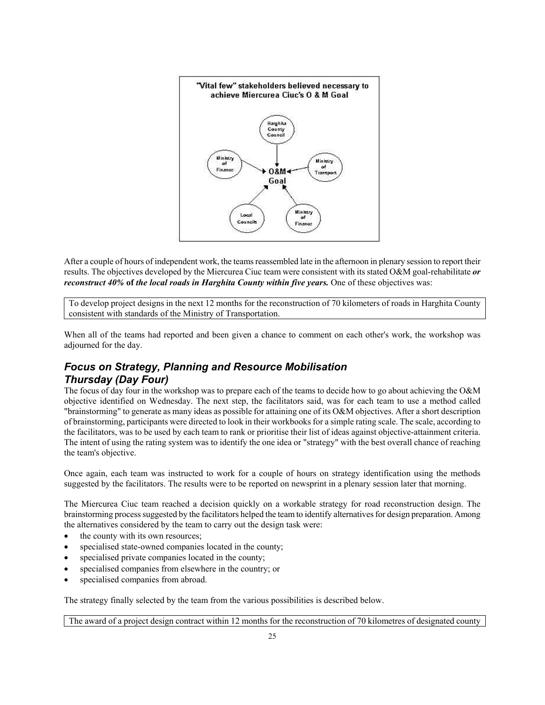

After a couple of hours of independent work, the teams reassembled late in the afternoon in plenary session to report their results. The objectives developed by the Miercurea Ciuc team were consistent with its stated O&M goal-rehabilitate *or reconstruct 40%* **of** *the local roads in Harghita County within five years.* One of these objectives was:

To develop project designs in the next 12 months for the reconstruction of 70 kilometers of roads in Harghita County consistent with standards of the Ministry of Transportation.

When all of the teams had reported and been given a chance to comment on each other's work, the workshop was adjourned for the day.

## *Focus on Strategy, Planning and Resource Mobilisation Thursday (Day Four)*

The focus of day four in the workshop was to prepare each of the teams to decide how to go about achieving the O&M objective identified on Wednesday. The next step, the facilitators said, was for each team to use a method called "brainstorming" to generate as many ideas as possible for attaining one of its O&M objectives. After a short description of brainstorming, participants were directed to look in their workbooks for a simple rating scale. The scale, according to the facilitators, was to be used by each team to rank or prioritise their list of ideas against objective-attainment criteria. The intent of using the rating system was to identify the one idea or "strategy" with the best overall chance of reaching the team's objective.

Once again, each team was instructed to work for a couple of hours on strategy identification using the methods suggested by the facilitators. The results were to be reported on newsprint in a plenary session later that morning.

The Miercurea Ciuc team reached a decision quickly on a workable strategy for road reconstruction design. The brainstorming process suggested by the facilitators helped the team to identify alternatives for design preparation. Among the alternatives considered by the team to carry out the design task were:

- the county with its own resources;
- specialised state-owned companies located in the county;
- specialised private companies located in the county;
- specialised companies from elsewhere in the country; or
- specialised companies from abroad.

The strategy finally selected by the team from the various possibilities is described below.

The award of a project design contract within 12 months for the reconstruction of 70 kilometres of designated county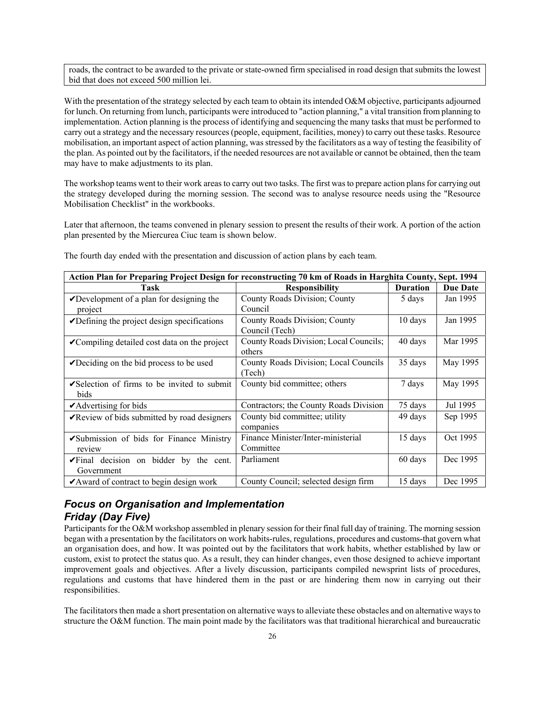roads, the contract to be awarded to the private or state-owned firm specialised in road design that submits the lowest bid that does not exceed 500 million lei.

With the presentation of the strategy selected by each team to obtain its intended O&M objective, participants adjourned for lunch. On returning from lunch, participants were introduced to "action planning," a vital transition from planning to implementation. Action planning is the process of identifying and sequencing the many tasks that must be performed to carry out a strategy and the necessary resources (people, equipment, facilities, money) to carry out these tasks. Resource mobilisation, an important aspect of action planning, was stressed by the facilitators as a way of testing the feasibility of the plan. As pointed out by the facilitators, if the needed resources are not available or cannot be obtained, then the team may have to make adjustments to its plan.

The workshop teams went to their work areas to carry out two tasks. The first was to prepare action plans for carrying out the strategy developed during the morning session. The second was to analyse resource needs using the "Resource Mobilisation Checklist" in the workbooks.

Later that afternoon, the teams convened in plenary session to present the results of their work. A portion of the action plan presented by the Miercurea Ciuc team is shown below.

| Action Plan for Preparing Project Design for reconstructing 70 km of Roads in Harghita County, Sept. 1994 |                                        |                 |                 |  |
|-----------------------------------------------------------------------------------------------------------|----------------------------------------|-----------------|-----------------|--|
| <b>Task</b>                                                                                               | <b>Responsibility</b>                  | <b>Duration</b> | <b>Due Date</b> |  |
| $\nu$ Development of a plan for designing the                                                             | County Roads Division; County          | 5 days          | Jan 1995        |  |
| project                                                                                                   | Council                                |                 |                 |  |
| $\triangleright$ Defining the project design specifications                                               | County Roads Division; County          | 10 days         | Jan 1995        |  |
|                                                                                                           | Council (Tech)                         |                 |                 |  |
| <b>∕</b> Compiling detailed cost data on the project                                                      | County Roads Division; Local Councils; | 40 days         | Mar 1995        |  |
|                                                                                                           | others                                 |                 |                 |  |
| $\sqrt{\text{Deciding}}$ on the bid process to be used                                                    | County Roads Division; Local Councils  | 35 days         | May 1995        |  |
|                                                                                                           | (Tech)                                 |                 |                 |  |
| $\triangleright$ Selection of firms to be invited to submit                                               | County bid committee; others           | 7 days          | May 1995        |  |
| bids                                                                                                      |                                        |                 |                 |  |
| $\blacktriangleright$ Advertising for bids                                                                | Contractors; the County Roads Division | 75 days         | Jul 1995        |  |
| <b>∕</b> Review of bids submitted by road designers                                                       | County bid committee; utility          | 49 days         | Sep 1995        |  |
|                                                                                                           | companies                              |                 |                 |  |
| ✔Submission of bids for Finance Ministry                                                                  | Finance Minister/Inter-ministerial     | 15 days         | Oct 1995        |  |
| review                                                                                                    | Committee                              |                 |                 |  |
| $\sqrt{1}$ Final decision on bidder by the cent.                                                          | Parliament                             | 60 days         | Dec 1995        |  |
| Government                                                                                                |                                        |                 |                 |  |
| $\mathbf{\triangleright}$ Award of contract to begin design work                                          | County Council; selected design firm   | 15 days         | Dec 1995        |  |

The fourth day ended with the presentation and discussion of action plans by each team.

## *Focus on Organisation and Implementation Friday (Day Five)*

Participants for the O&M workshop assembled in plenary session for their final full day of training. The morning session began with a presentation by the facilitators on work habits-rules, regulations, procedures and customs-that govern what an organisation does, and how. It was pointed out by the facilitators that work habits, whether established by law or custom, exist to protect the status quo. As a result, they can hinder changes, even those designed to achieve important improvement goals and objectives. After a lively discussion, participants compiled newsprint lists of procedures, regulations and customs that have hindered them in the past or are hindering them now in carrying out their responsibilities.

The facilitators then made a short presentation on alternative ways to alleviate these obstacles and on alternative ways to structure the O&M function. The main point made by the facilitators was that traditional hierarchical and bureaucratic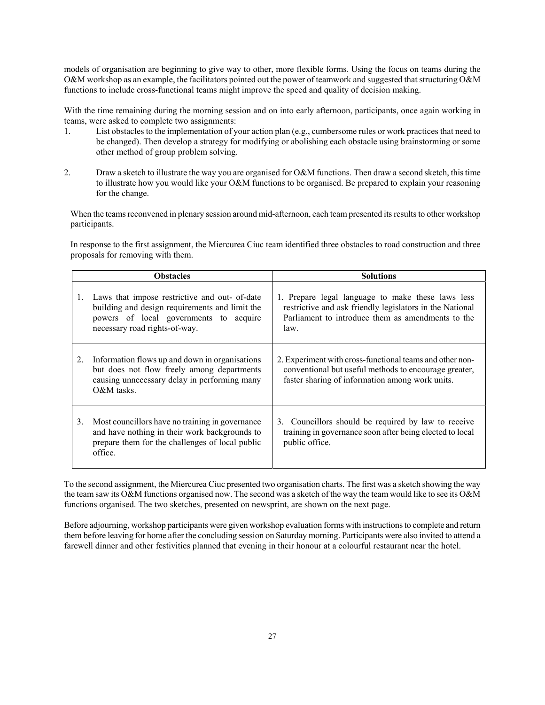models of organisation are beginning to give way to other, more flexible forms. Using the focus on teams during the O&M workshop as an example, the facilitators pointed out the power of teamwork and suggested that structuring O&M functions to include cross-functional teams might improve the speed and quality of decision making.

With the time remaining during the morning session and on into early afternoon, participants, once again working in teams, were asked to complete two assignments:

- 1. List obstacles to the implementation of your action plan (e.g., cumbersome rules or work practices that need to be changed). Then develop a strategy for modifying or abolishing each obstacle using brainstorming or some other method of group problem solving.
- 2. Draw a sketch to illustrate the way you are organised for O&M functions. Then draw a second sketch, this time to illustrate how you would like your O&M functions to be organised. Be prepared to explain your reasoning for the change.

When the teams reconvened in plenary session around mid-afternoon, each team presented its results to other workshop participants.

In response to the first assignment, the Miercurea Ciuc team identified three obstacles to road construction and three proposals for removing with them.

| <b>Obstacles</b> |                                                                                                                                                                            | <b>Solutions</b>                                                                                                                                                           |  |
|------------------|----------------------------------------------------------------------------------------------------------------------------------------------------------------------------|----------------------------------------------------------------------------------------------------------------------------------------------------------------------------|--|
| 1.               | Laws that impose restrictive and out- of-date<br>building and design requirements and limit the<br>powers of local governments to acquire<br>necessary road rights-of-way. | 1. Prepare legal language to make these laws less<br>restrictive and ask friendly legislators in the National<br>Parliament to introduce them as amendments to the<br>law. |  |
| 2.               | Information flows up and down in organisations<br>but does not flow freely among departments<br>causing unnecessary delay in performing many<br>$O&M$ tasks.               | 2. Experiment with cross-functional teams and other non-<br>conventional but useful methods to encourage greater,<br>faster sharing of information among work units.       |  |
| 3.               | Most councillors have no training in governance<br>and have nothing in their work backgrounds to<br>prepare them for the challenges of local public<br>office.             | 3. Councillors should be required by law to receive<br>training in governance soon after being elected to local<br>public office.                                          |  |

To the second assignment, the Miercurea Ciuc presented two organisation charts. The first was a sketch showing the way the team saw its O&M functions organised now. The second was a sketch of the way the team would like to see its O&M functions organised. The two sketches, presented on newsprint, are shown on the next page.

Before adjourning, workshop participants were given workshop evaluation forms with instructions to complete and return them before leaving for home after the concluding session on Saturday morning. Participants were also invited to attend a farewell dinner and other festivities planned that evening in their honour at a colourful restaurant near the hotel.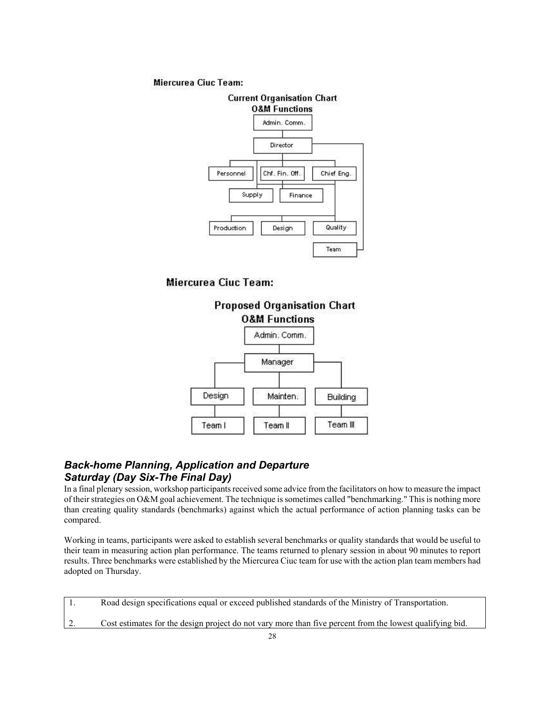#### Miercurea Ciuc Team:



Miercurea Ciuc Team:



## *Back-home Planning, Application and Departure Saturday (Day Six-The Final Day)*

In a final plenary session, workshop participants received some advice from the facilitators on how to measure the impact of their strategies on O&M goal achievement. The technique is sometimes called "benchmarking." This is nothing more than creating quality standards (benchmarks) against which the actual performance of action planning tasks can be compared.

Working in teams, participants were asked to establish several benchmarks or quality standards that would be useful to their team in measuring action plan performance. The teams returned to plenary session in about 90 minutes to report results. Three benchmarks were established by the Miercurea Ciuc team for use with the action plan team members had adopted on Thursday.

| Road design specifications equal or exceed published standards of the Ministry of Transportation.        |
|----------------------------------------------------------------------------------------------------------|
| Cost estimates for the design project do not vary more than five percent from the lowest qualifying bid. |